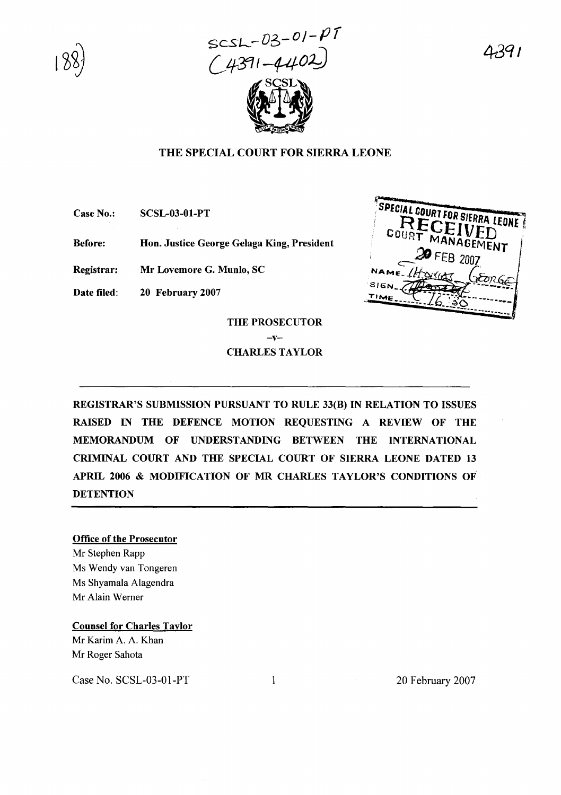$SCSL - D3 - O1 - P7$ <br>(4391-4402)



# THE SPECIAL COURT FOR SIERRA LEONE

Case No.: SCSL-03-01-PT

Before: Hon. Justice George Gelaga King, President

Registrar: Mr Lovemore G. Munlo, SC

Date filed: 20 February 2007



# THE PROSECUTOR  $-v-$ CHARLES TAYLOR

REGISTRAR'S SUBMISSION PURSUANT TO RULE 33(B) IN RELATION TO ISSUES RAISED IN THE DEFENCE MOTION REQUESTING A REVIEW OF THE MEMORANDUM OF UNDERSTANDING BETWEEN THE INTERNATIONAL CRIMINAL COURT AND THE SPECIAL COURT OF SIERRA LEONE DATED 13 APRIL 2006 & MODIFICATION OF MR CHARLES TAYLOR'S CONDITIONS OF **DETENTION** 

# Office of the Prosecutor

Mr Stephen Rapp Ms Wendy van Tongeren Ms Shyamala Alagendra Mr Alain Werner

Counsel for Charles Taylor Mr Karim A. A. Khan Mr Roger Sahota

Case No. SCSL-03-01-PT 1 20 February 2007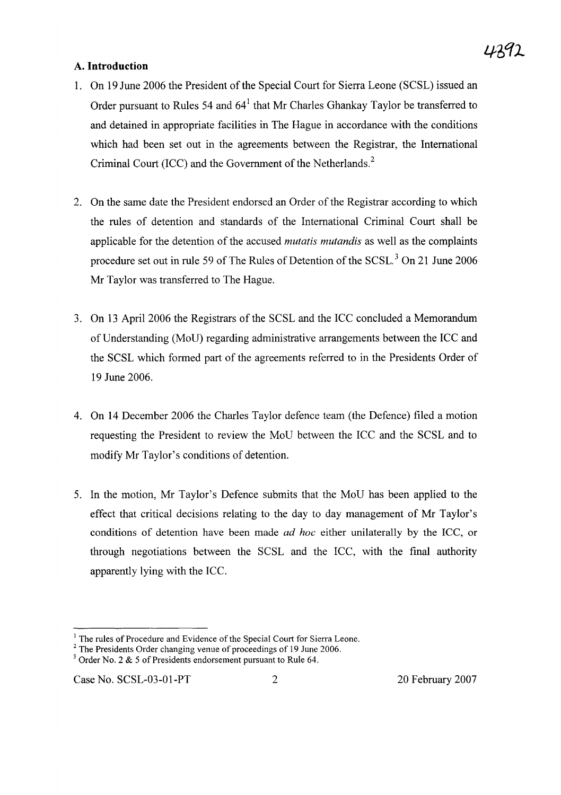# A. **Introduction**

- 1. On 19 June 2006 the President of the Special Court for Sierra Leone (SCSL) issued an Order pursuant to Rules 54 and  $64<sup>1</sup>$  that Mr Charles Ghankay Taylor be transferred to and detained in appropriate facilities in The Hague in accordance with the conditions which had been set out in the agreements between the Registrar, the International Criminal Court (ICC) and the Government of the Netherlands.<sup>2</sup>
- 2. On the same date the President endorsed an Order of the Registrar according to which the rules of detention and standards of the International Criminal Court shall be applicable for the detention of the accused *mutatis mutandis* as well as the complaints procedure set out in rule 59 of The Rules of Detention of the SCSL.<sup>3</sup> On 21 June 2006 Mr Taylor was transferred to The Hague.
- 3. On 13 April 2006 the Registrars of the SCSL and the ICC concluded a Memorandum of Dnderstanding (MoD) regarding administrative arrangements between the ICC and the SCSL which formed part of the agreements referred to in the Presidents Order of 19 June 2006.
- 4. On 14 December 2006 the Charles Taylor defence team (the Defence) filed a motion requesting the President to review the MoD between the ICC and the SCSL and to modify Mr Taylor's conditions of detention.
- 5. In the motion, Mr Taylor's Defence submits that the MoD has been applied to the effect that critical decisions relating to the day to day management of Mr Taylor's conditions of detention have been made *ad hoc* either unilaterally by the ICC, or through negotiations between the SCSL and the ICC, with the final authority apparently lying with the ICC.

<sup>&</sup>lt;sup>1</sup> The rules of Procedure and Evidence of the Special Court for Sierra Leone.

<sup>&</sup>lt;sup>2</sup> The Presidents Order changing venue of proceedings of 19 June 2006.

 $3$  Order No. 2 & 5 of Presidents endorsement pursuant to Rule 64.

Case No. SCSL-03-01-PT 2 20 February 2007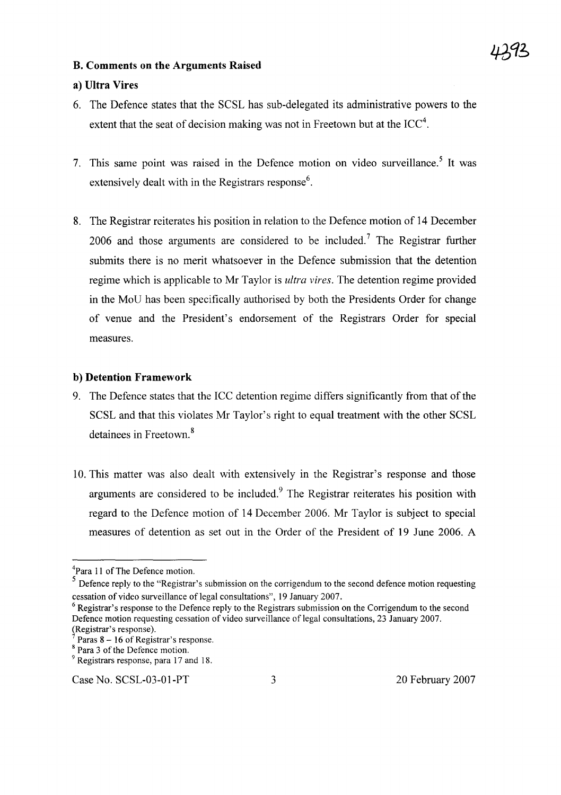### **B. Comments on the Arguments Raised**

### **a) Ultra Vires**

- 6. The Defence states that the SCSL has sub-delegated its administrative powers to the extent that the seat of decision making was not in Freetown but at the ICC<sup>4</sup>.
- 7. This same point was raised in the Defence motion on video surveillance.<sup>5</sup> It was extensively dealt with in the Registrars response $6$ .
- 8. The Registrar reiterates his position in relation to the Defence motion of 14 December 2006 and those arguments are considered to be included.<sup>7</sup> The Registrar further submits there is no merit whatsoever in the Defence submission that the detention regime which is applicable to Mr Taylor is *ultra vires.* The detention regime provided in the MoD has been specifically authorised by both the Presidents Order for change of venue and the President's endorsement of the Registrars Order for special measures.

### b) **Detention Framework**

- 9. The Defence states that the ICC detention regime differs significantly from that of the SCSL and that this violates Mr Taylor's right to equal treatment with the other SCSL detainees in Freetown. <sup>8</sup>
- 10. This matter was also dealt with extensively in the Registrar's response and those arguments are considered to be included.<sup>9</sup> The Registrar reiterates his position with regard to the Defence motion of 14 December 2006. Mr Taylor is subject to special measures of detention as set out in the Order of the President of 19 June 2006. A

<sup>&</sup>lt;sup>4</sup>Para 11 of The Defence motion.

S Defence reply to the "Registrar's submission on the corrigendum to the second defence motion requesting cessation of video surveillance of legal consultations", 19 January 2007.

 $6$  Registrar's response to the Defence reply to the Registrars submission on the Corrigendum to the second Defence motion requesting cessation of video surveillance of legal consultations, 23 January 2007. (Registrar's response).

Paras 8 - 16 of Registrar's response.

<sup>&</sup>lt;sup>8</sup> Para 3 of the Defence motion.

<sup>&</sup>lt;sup>9</sup> Registrars response, para 17 and 18.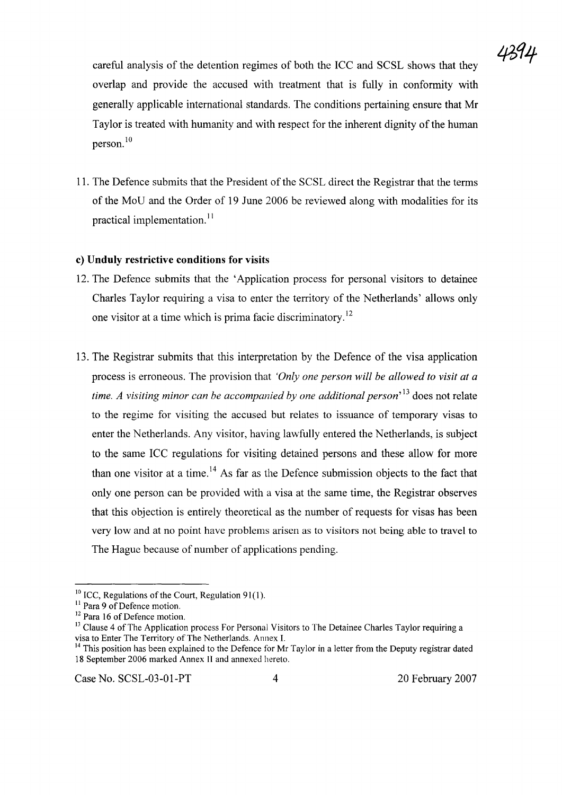

careful analysis of the detention regimes of both the ICC and SCSL shows that they overlap and provide the accused with treatment that is fully in conformity with generally applicable international standards. The conditions pertaining ensure that Mr Taylor is treated with humanity and with respect for the inherent dignity ofthe human person. <sup>10</sup>

11. The Defence submits that the President of the SCSL direct the Registrar that the terms of the MoD and the Order of 19 June 2006 be reviewed along with modalities for its practical implementation.<sup>11</sup>

### **c) Unduly restrictive conditions for visits**

- 12. The Defence submits that the 'Application process for personal visitors to detainee Charles Taylor requiring a visa to enter the territory of the Netherlands' allows only one visitor at a time which is prima facie discriminatory.<sup>12</sup>
- 13. The Registrar submits that this interpretation by the Defence of the visa application process is erroneous. The provision that *'Only one person will be allowed to visit at a time. A visiting minor can be accompanied by one additional person'* <sup>13</sup> does not relate to the regime for visiting the accused but relates to issuance of temporary visas to enter the Netherlands. Any visitor, having lawfully entered the Netherlands, is subject to the same ICC regulations for visiting detained persons and these allow for more than one visitor at a time.<sup>14</sup> As far as the Defence submission objects to the fact that only one person can be provided with a visa at the same time, the Registrar observes that this objection is entirely theoretical as the number of requests for visas has been very low and at no point have problems arisen as to visitors not being able to travel to The Hague because of number of applications pending.

Case No. SCSL-03-01-PT 4 20 February 2007

 $10$  ICC, Regulations of the Court, Regulation 91(1).

<sup>&</sup>lt;sup>11</sup> Para 9 of Defence motion.

<sup>&</sup>lt;sup>12</sup> Para 16 of Defence motion.

<sup>&</sup>lt;sup>13</sup> Clause 4 of The Application process For Personal Visitors to The Detainee Charles Taylor requiring a visa to Enter The Territory of The Netherlands. Annex 1.

<sup>&</sup>lt;sup>14</sup> This position has been explained to the Defence for Mr Taylor in a letter from the Deputy registrar dated 18 September 2006 marked Annex II and annexed hereto.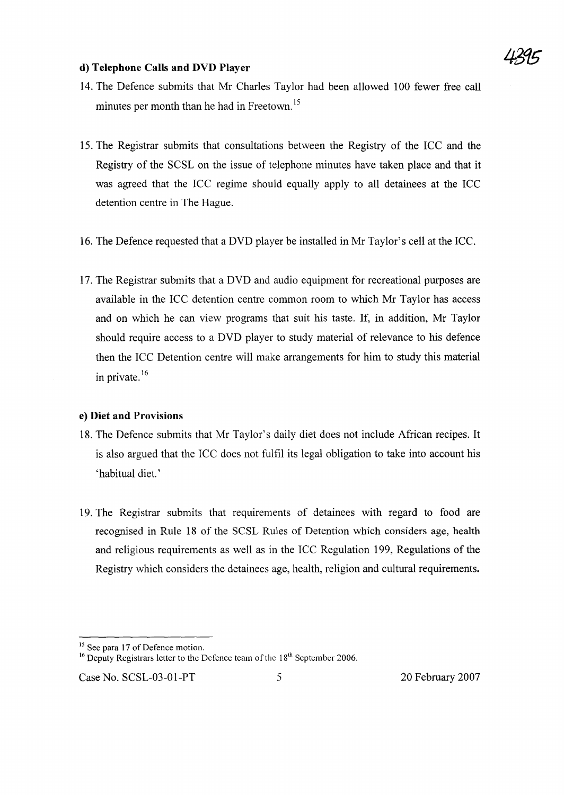

### **d) Telephone Calls and DVD Player**

- 14. The Defence submits that Mr Charles Taylor had been allowed 100 fewer free call minutes per month than he had in Freetown.<sup>15</sup>
- 15. The Registrar submits that consultations between the Registry of the ICC and the Registry of the SCSL on the issue of telephone minutes have taken place and that it was agreed that the ICC regime should equally apply to all detainees at the ICC detention centre in The Hague.
- 16. The Defence requested that a DVD player be installed in Mr Taylor's cell at the ICC.
- 17. The Registrar submits that a DVD and audio equipment for recreational purposes are available in the ICC detention centre common room to which Mr Taylor has access and on which he can view programs that suit his taste. If, in addition, Mr Taylor should require access to a DVD player to study material of relevance to his defence then the ICC Detention centre will make arrangements for him to study this material in private. $16$

### **e) Diet and Provisions**

- 18. The Defence submits that Mr Taylor's daily diet does not include African recipes. It is also argued that the ICC does not fulfil its legal obligation to take into account his 'habitual diet.'
- 19. The Registrar submits that requirements of detainees with regard to food are recognised in Rule 18 of the SCSL Rules of Detention which considers age, health and religious requirements as well as in the ICC Regulation 199, Regulations of the Registry which considers the detainees age, health, religion and cultural requirements.

<sup>&</sup>lt;sup>15</sup> See para 17 of Defence motion.

<sup>&</sup>lt;sup>16</sup> Deputy Registrars letter to the Defence team of the  $18<sup>th</sup>$  September 2006.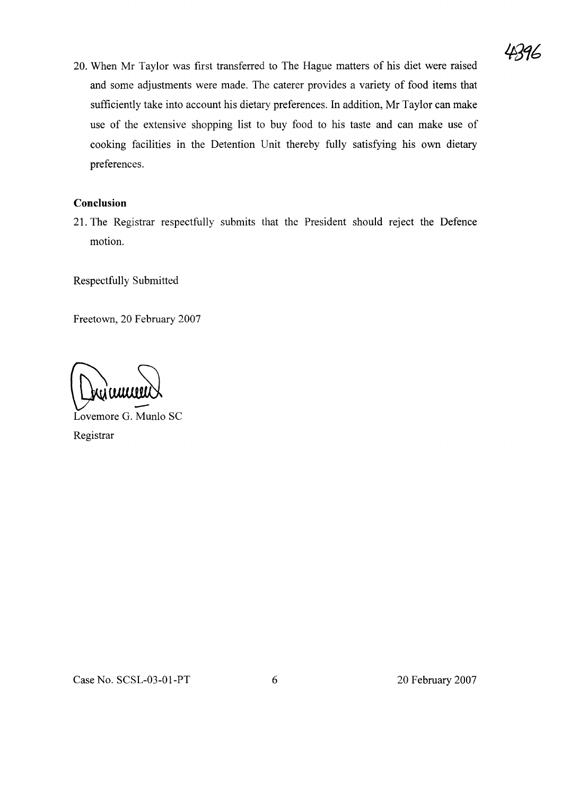20. When Mr Taylor was first transferred to The Hague matters of his diet were raised and some adjustments were made. The caterer provides a variety of food items that sufficiently take into account his dietary preferences. In addition, Mr Taylor can make use of the extensive shopping list to buy food to his taste and can make use of cooking facilities in the Detention Unit thereby fully satisfying his own dietary preferences.

# **Conclusion**

21. The Registrar respectfully submits that the President should reject the Defence motion.

Respectfully Submitted

Freetown, 20 February 2007

 $~\kappa$ u $~\omega$ 

Lovemore G. Munlo SC Registrar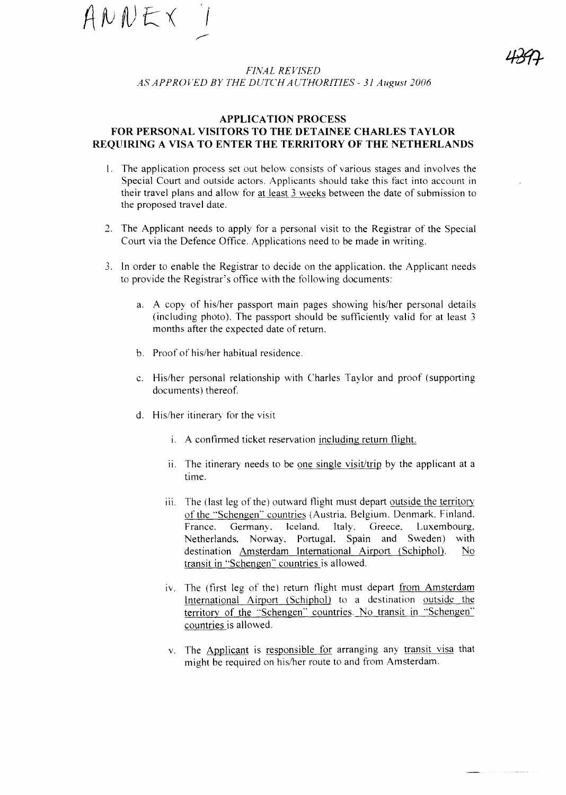$ANDE\times$ ,.--

*FINAL REVISED AS' APPROVED BY THE DUTCH AUTHORITIES* - 31 *August 2006*

### **APPLICATION PROCESS FOR PERSONAL VISITORS TO THE DETAINEE CHARLES TAYLOR REQUIRING A VISA TO ENTER THE TERRITORY OF THE NETHERLANDS**

- I. The application process set out below consists of various stages and involves the Special Court and outside actors. Applicants should take this fact into account in their travel plans and allow for at least 3 weeks between the date of submission to the proposed travel date.
- 2. The Applicant needs to apply for a personal visit to the Registrar of the Special Court via the Defence Office. Applications need to be made in writing.
- 3. In order to enable the Registrar to decide on the application. the Applicant needs to provide the Registrar's office with the following documents:
	- a. A copy of his/her passport main pages showing his/her personal details (including photo). The passport should be sufficiently valid for at least 3 months after the expected date of return.
	- b. Proof of his/her habitual residence.
	- c. His/her personal relationship with Charles Taylor and proof (supporting documents) thereof.
	- d. His/her itinerary for the visit
		- i. A confirmed ticket reservation including return flight.
		- ii. The itinerary needs to be one single visit/trip by the applicant at a time.
		- iii. The (last leg of the) outward flight must depart outside the territory of the "Schengen" countries (Austria. Belgium. Denmark. Finland. France, Germany, Iceland. Italy, Greece, Luxembourg, Netherlands, Norway. Portugal, Spain and Sweden) with destination Amsterdam International Airport (Schiphol). No transit in "Schengen" countries is allowed.
		- iv. The (first leg of the) return flight must depart from Amsterdam International Airport (Schiphol) to a destination outside the territory of the "Schengen" countries. No transit in "Schengen" countries is allowed.
		- v. The Applicant is responsible for arranging any transit visa that might be required on his/her route to and from Amsterdam.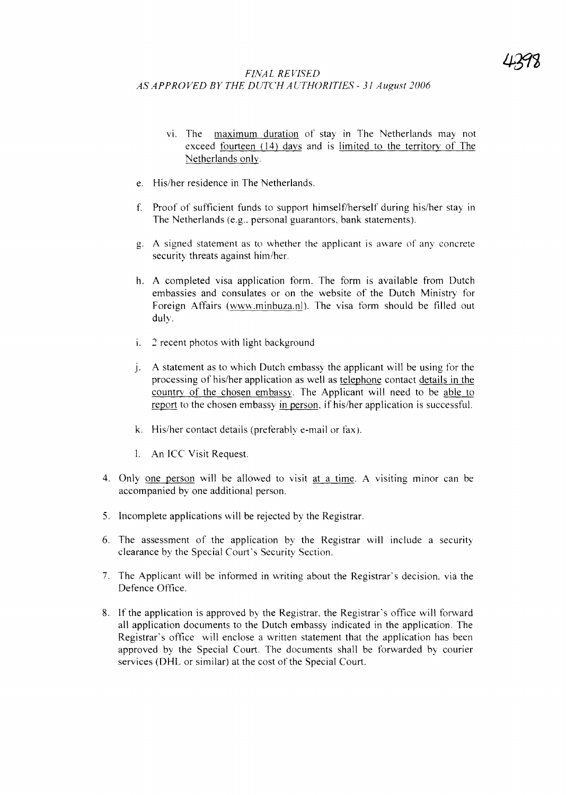# *FINAL REVISED AS APPROVED BY THE DUTCH AUTHORITIES* - 31 *August 2006*

- vi. The maximum duration of stay in The Netherlands may not exceed fourteen (14) days and is limited to the territory of The Netherlands only.
- e. His/her residence in The Netherlands.
- f. Proof of sufficient funds to support himself/herself during his/her stay in The Netherlands (e.g.. personal guarantors, bank statements).
- g. A signed statement as to whether the applicant is aware of any concrete security threats against him/her.
- h. A completed visa application form. The form is available from Dutch embassies and consulates or on the website of the Dutch Ministry for Foreign Affairs (www.minbuza.nl). The visa form should be filled out duly.
- i. 2 recent photos with light background
- j. A statement as to which Dutch embassy the applicant will be using for the processing of his/her application as well as telephone contact details in the country of the chosen embassy. The Applicant will need to be able to report to the chosen embassy in person, if his/her application is successful.
- k. His/her contact details (preferably e-mail or fax).
- I. An ICC Visit Request.
- 4. Only one person will be allowed to visit at a time. A visiting minor can be accompanied by one additional person.
- 5. Incomplete applications will be rejected by the Registrar.
- 6. The assessment of the application by the Registrar will include a security clearance by the Special Court's Security Section.
- 7. The Applicant will be informed in writing about the Registrar's decision. via the Defence Office.
- 8. If the application is approved by the Registrar, the Registrar's office will forward all application documents to the Dutch embassy indicated in the application. The Registrar's office will enclose a written statement that the application has been approved by the Special Court. The documents shall be forwarded by courier services (DHL or similar) at the cost of the Special Court.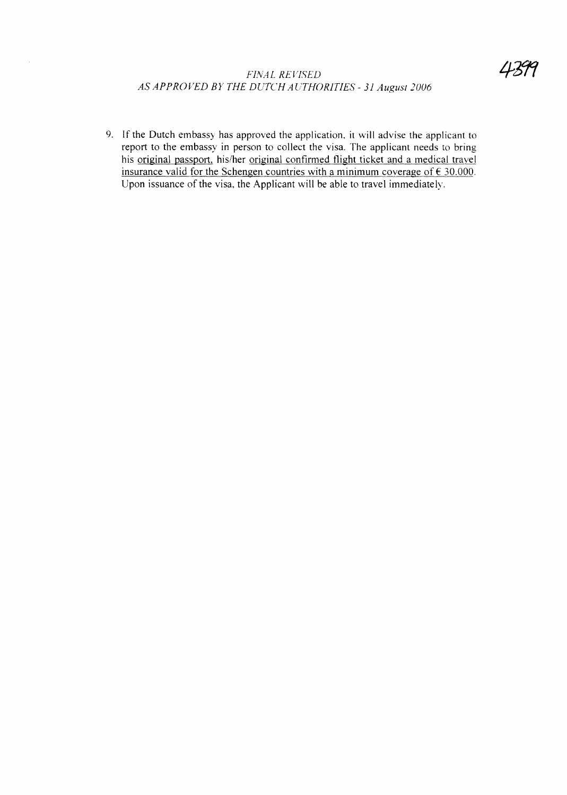# *FINAL REVISED AS APPROVED BY THE DUTCH AC7HORITIES* - 31 *August 2006*

 $\bar{\mathcal{A}}$ 

9. If the Dutch embassy has approved the application, it will advise the applicant to report to the embassy in person to collect the visa. The applicant needs to bring his original passport, his/her original confirmed flight ticket and a medical travel insurance valid for the Schengen countries with a minimum coverage of  $\epsilon$  30.000. Upon issuance of the visa, the Applicant will be able to travel immediately.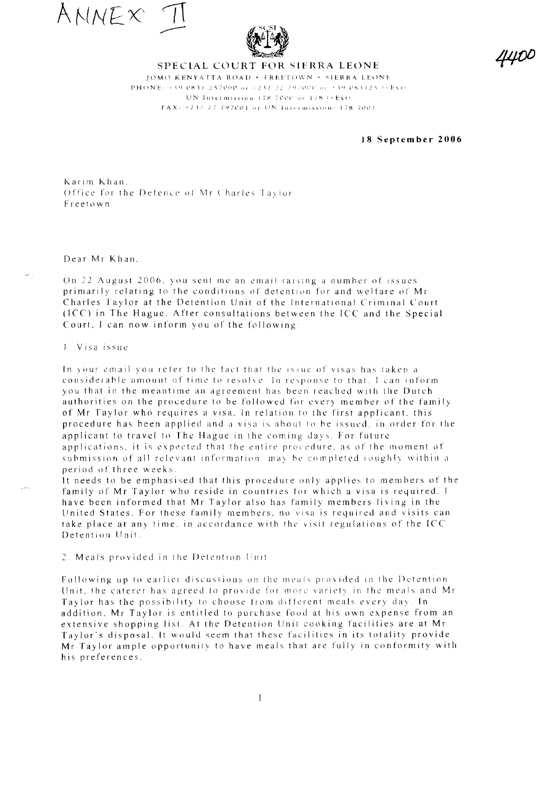ANNEX



#### SPECIAL COURT FOR SIERRA LEONE

JOMO KENYATTA ROAD . EREETOWN . SIERRA LEONE PHONE: +39 0831 257000 or +232 22 297000 or +39 083125 (+Ex) UN Intermission 178-7000 or 178 (+Ext) FAX: +232-22-297001 or UN Intermission: 178-7001

18 September 2006

Karim Khan, Office for the Defence of Mr Charles Taylor Freetown

#### Dear Mr Khan.

On 22 August 2006, you sent me an email raising a number of issues primarily relating to the conditions of detention for and welfare of Mr Charles Taylor at the Detention Unit of the International Criminal Court (ICC) in The Hague. After consultations between the ICC and the Special Court, I can now inform you of the following:

1 Visa issue

In your email you refer to the fact that the issue of visas has taken a considerable amount of time to resolve. In response to that, I can inform you that in the meantime an agreement has been reached with the Dutch authorities on the procedure to be followed for every member of the family of Mr Taylor who requires a visa. In relation to the first applicant, this procedure has been applied and a visa is about to be issued, in order for the applicant to travel to The Hague in the coming days. For future applications, it is expected that the entire procedure, as of the moment of submission of all relevant information, may be completed roughly within a period of three weeks.

It needs to be emphasised that this procedure only applies to members of the family of Mr Taylor who reside in countries for which a visa is required. I have been informed that Mr Taylor also has family members living in the United States. For these family members, no visa is required and visits can take place at any time, in accordance with the visit regulations of the ICC Detention Unit.

2. Meals provided in the Detention Unit

Following up to earlier discussions on the meals provided in the Detention Unit, the caterer has agreed to provide for more variety in the meals and Mr Taylor has the possibility to choose from different meals every day. In addition. Mr Taylor is entitled to purchase food at his own expense from an extensive shopping list. At the Detention Unit cooking facilities are at Mr Taylor's disposal. It would seem that these facilities in its totality provide Mr Taylor ample opportunity to have meals that are fully in conformity with his preferences.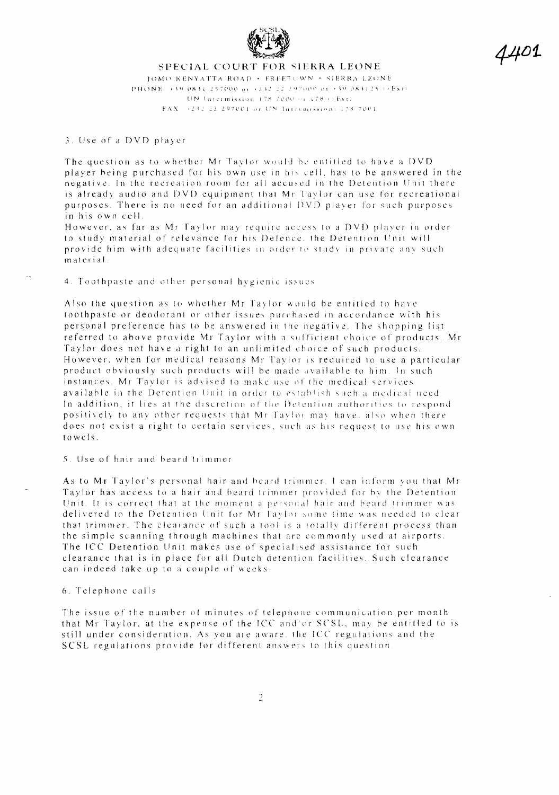

4401

### SPECIAL COURT FOR SIERRA LEONE JOMO KENYATTA ROAD . FREETCWN . SIERRA LEONE PHONE: +39 0831 257000 or +232 22 297000 or +39 083125  $\leftrightarrow$  Ext) UN fatermission 178-7000 or 178 ((Ext) FAX: +232-22-297001 or UN Intermission: 178-7001

#### 3. Use of a DVD player

The question as to whether Mr Taylor would be entitled to have a DVD player being purchased for his own use in his cell, has to be answered in the negative. In the recreation room for all accused in the Detention Unit there is already audio and DVD equipment that Mr Taylor can use for recreational purposes. There is no need for an additional DVD player for such purposes in his own cell.

However, as far as Mr Taylor may require access to a DVD player in order to study material of relevance for his Defence, the Detention Unit will provide him with adequate facilities in order to study in private any such material.

#### 4. Toothpaste and other personal hygienic issues

Also the question as to whether Mr Taylor would be entitled to have toothpaste or deodorant or other issues purchased in accordance with his personal preference has to be answered in the negative. The shopping list referred to above provide Mr Taylor with a sufficient choice of products. Mr Taylor does not have a right to an unlimited choice of such products. However, when for medical reasons Mr Taylor is required to use a particular product obviously such products will be made available to him. In such instances. Mr Taylor is advised to make use of the medical services available in the Detention Unit in order to establish such a medical need In addition, it lies at the discretion of the Detention authorities to respond positively to any other requests that Mr Taylor may have, also when there does not exist a right to certain services, such as his request to use his own  $to we$  is.

#### 5. Use of hair and beard trimmer

As to Mr Taylor's personal hair and beard trimmer, I can inform you that Mr Taylor has access to a hair and beard trimmer provided for by the Detention Unit. It is correct that at the moment a personal hair and beard trimmer was delivered to the Detention Unit for Mr Taylor some time was needed to clear that trimmer. The clearance of such a tool is a totally different process than the simple scanning through machines that are commonly used at airports. The ICC Detention Unit makes use of specialised assistance for such clearance that is in place for all Dutch detention facilities. Such clearance can indeed take up to a couple of weeks.

#### 6. Telephone calls

The issue of the number of minutes of telephone communication per month that Mr Taylor, at the expense of the ICC and/or SCSL, may be entitled to is still under consideration. As you are aware, the ICC regulations and the SCSL regulations provide for different answers to this question.